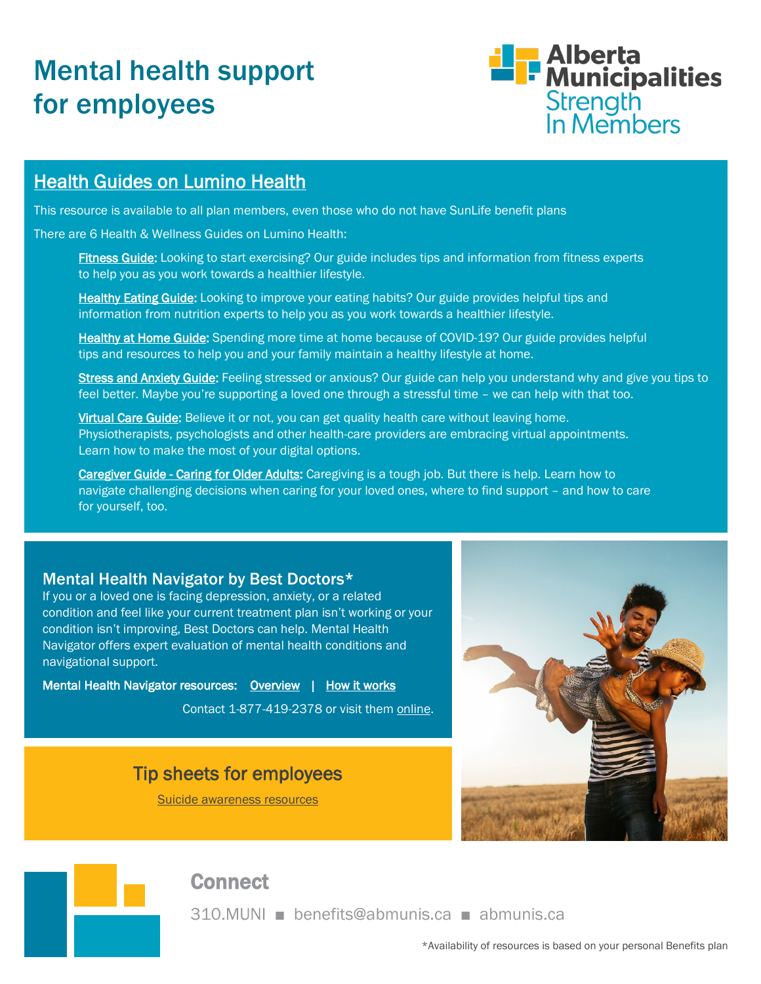# Mental health support for employees



## **Health Guides on Lumino Health**

This resource is available to all plan members, even those who do not have SunLife benefit plans

There are 6 Health & Wellness Guides on Lumino Health:

[Fitness Guide:](https://luminohealth.sunlife.ca/s/fitness-101-canada-fitness-guide?language=en_US&WT.ac=en-ca:direct:redirect:guides_landing_pg:fitness_guide) Looking to start exercising? Our guide includes tips and information from fitness experts to help you as you work towards a healthier lifestyle.

[Healthy Eating Guide:](https://luminohealth.sunlife.ca/s/healthy-eating-guide?language=en_US&WT.ac=en-ca:direct:redirect:guides_landing_pg:healthyeating_guide) Looking to improve your eating habits? Our guide provides helpful tips and information from nutrition experts to help you as you work towards a healthier lifestyle.

[Healthy at Home Guide:](https://luminohealth.sunlife.ca/s/how-to-stay-healthy-and-fit-at-home?language=en_US&WT.ac=en-ca:direct:redirect:guides_landing_pg:healthyathome_guide) Spending more time at home because of COVID-19? Our guide provides helpful tips and resources to help you and your family maintain a healthy lifestyle at home.

[Stress and Anxiety Guide:](https://luminohealth.sunlife.ca/s/stress-and-anxiety-resources?language=en_US&WT.ac=en-ca%3Adirect%3Aredirect%3Astress_anxiety_guide%3Aguides_landing_pg%3Aenglish) Feeling stressed or anxious? Our guide can help you understand why and give you tips to feel better. Maybe you're supporting a loved one through a stressful time – we can help with that too.

[Virtual Care Guide:](https://luminohealth.sunlife.ca/s/virtual-care-resources?language=en_US&WT.ac=en-ca:direct:redirect:vc_guide:guides_landing_pg:english) Believe it or not, you can get quality health care without leaving home. Physiotherapists, psychologists and other health-care providers are embracing virtual appointments. Learn how to make the most of your digital options.

[Caregiver Guide - Caring for Older Adults:](https://luminohealth.sunlife.ca/s/caregiving-resources-for-older-adults?language=en&WT.ac=en-ca:direct:redirect:cg_guide:guides_landing_pg:english) Caregiving is a tough job. But there is help. Learn how to navigate challenging decisions when caring for your loved ones, where to find support – and how to care for yourself, too.

#### Mental Health Navigator by Best Doctors\*

If you or a loved one is facing depression, anxiety, or a related condition and feel like your current treatment plan isn't working or your condition isn't improving, Best Doctors can help. Mental Health Navigator offers expert evaluation of mental health conditions and navigational support.

Mental Health Navigator resources: [Overview](https://player.vimeo.com/video/301094910) | [How it works](https://bestdoctors.com/canada/for-individuals/how-it-works/)

Contact 1-877-419-2378 or visit them online.

## Tip sheets for employees

[Suicide awareness resources](https://www.abmunis.ca/sites/default/files/BusinessServices/Benefits/wellness/employee_tip_-_suicide_awareness.pdf)



#### **Connect**

310.MUNI ■ benefits@abmunis.ca ■ abmunis.ca